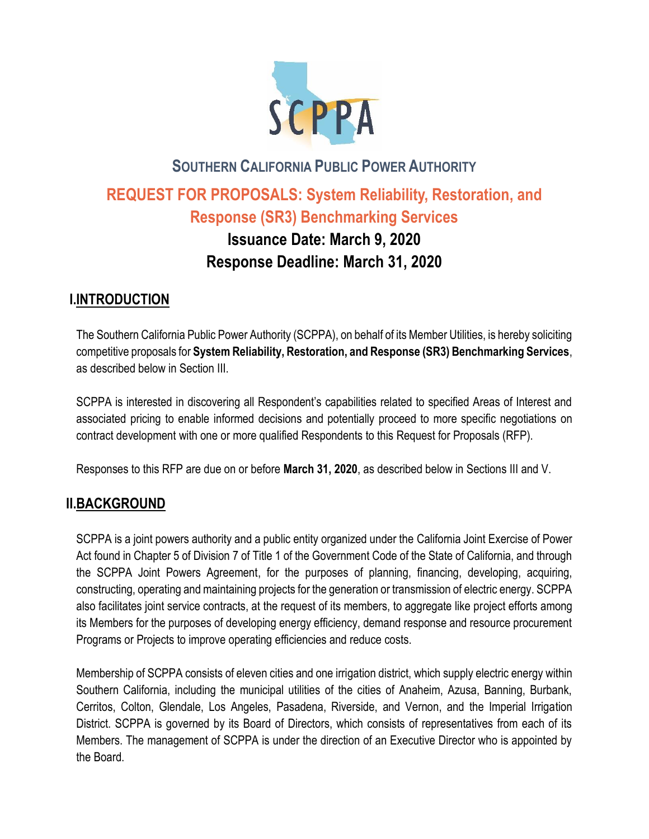

# **SOUTHERN CALIFORNIA PUBLIC POWER AUTHORITY REQUEST FOR PROPOSALS: System Reliability, Restoration, and Response (SR3) Benchmarking Services Issuance Date: March 9, 2020 Response Deadline: March 31, 2020**

# **I.INTRODUCTION**

The Southern California Public Power Authority (SCPPA), on behalf of its Member Utilities, is hereby soliciting competitive proposals for **System Reliability, Restoration, and Response (SR3) Benchmarking Services**, as described below in Section III.

SCPPA is interested in discovering all Respondent's capabilities related to specified Areas of Interest and associated pricing to enable informed decisions and potentially proceed to more specific negotiations on contract development with one or more qualified Respondents to this Request for Proposals (RFP).

Responses to this RFP are due on or before **March 31, 2020**, as described below in Sections III and V.

# **II.BACKGROUND**

SCPPA is a joint powers authority and a public entity organized under the California Joint Exercise of Power Act found in Chapter 5 of Division 7 of Title 1 of the Government Code of the State of California, and through the SCPPA Joint Powers Agreement, for the purposes of planning, financing, developing, acquiring, constructing, operating and maintaining projects for the generation or transmission of electric energy. SCPPA also facilitates joint service contracts, at the request of its members, to aggregate like project efforts among its Members for the purposes of developing energy efficiency, demand response and resource procurement Programs or Projects to improve operating efficiencies and reduce costs.

Membership of SCPPA consists of eleven cities and one irrigation district, which supply electric energy within Southern California, including the municipal utilities of the cities of Anaheim, Azusa, Banning, Burbank, Cerritos, Colton, Glendale, Los Angeles, Pasadena, Riverside, and Vernon, and the Imperial Irrigation District. SCPPA is governed by its Board of Directors, which consists of representatives from each of its Members. The management of SCPPA is under the direction of an Executive Director who is appointed by the Board.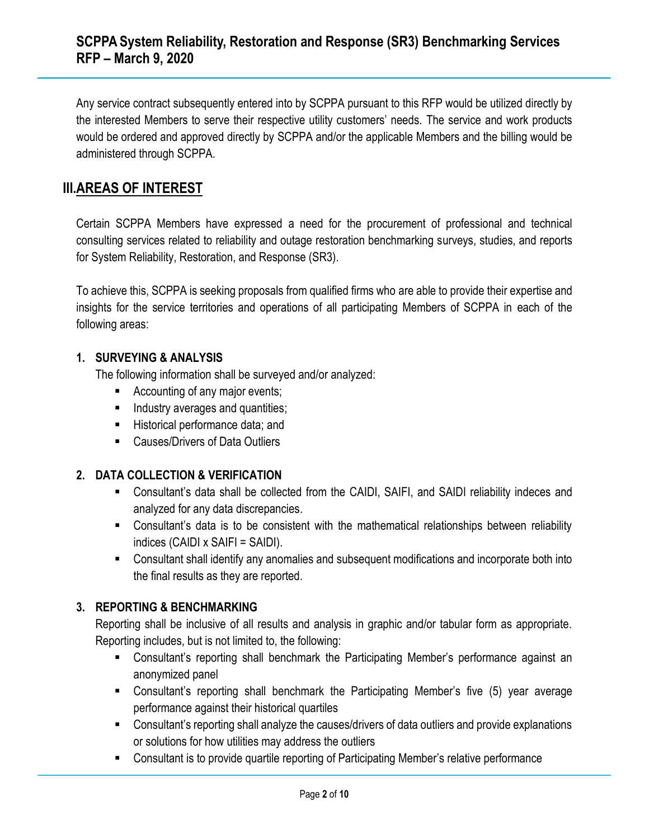Any service contract subsequently entered into by SCPPA pursuant to this RFP would be utilized directly by the interested Members to serve their respective utility customers' needs. The service and work products would be ordered and approved directly by SCPPA and/or the applicable Members and the billing would be administered through SCPPA.

### **III.AREAS OF INTEREST**

Certain SCPPA Members have expressed a need for the procurement of professional and technical consulting services related to reliability and outage restoration benchmarking surveys, studies, and reports for System Reliability, Restoration, and Response (SR3).

To achieve this, SCPPA is seeking proposals from qualified firms who are able to provide their expertise and insights for the service territories and operations of all participating Members of SCPPA in each of the following areas:

#### **1. SURVEYING & ANALYSIS**

The following information shall be surveyed and/or analyzed:

- Accounting of any major events;
- **■** Industry averages and quantities;
- Historical performance data; and
- Causes/Drivers of Data Outliers

#### **2. DATA COLLECTION & VERIFICATION**

- Consultant's data shall be collected from the CAIDI, SAIFI, and SAIDI reliability indeces and analyzed for any data discrepancies.
- Consultant's data is to be consistent with the mathematical relationships between reliability indices (CAIDI x SAIFI = SAIDI).
- Consultant shall identify any anomalies and subsequent modifications and incorporate both into the final results as they are reported.

### **3. REPORTING & BENCHMARKING**

Reporting shall be inclusive of all results and analysis in graphic and/or tabular form as appropriate. Reporting includes, but is not limited to, the following:

- Consultant's reporting shall benchmark the Participating Member's performance against an anonymized panel
- Consultant's reporting shall benchmark the Participating Member's five (5) year average performance against their historical quartiles
- Consultant's reporting shall analyze the causes/drivers of data outliers and provide explanations or solutions for how utilities may address the outliers
- Consultant is to provide quartile reporting of Participating Member's relative performance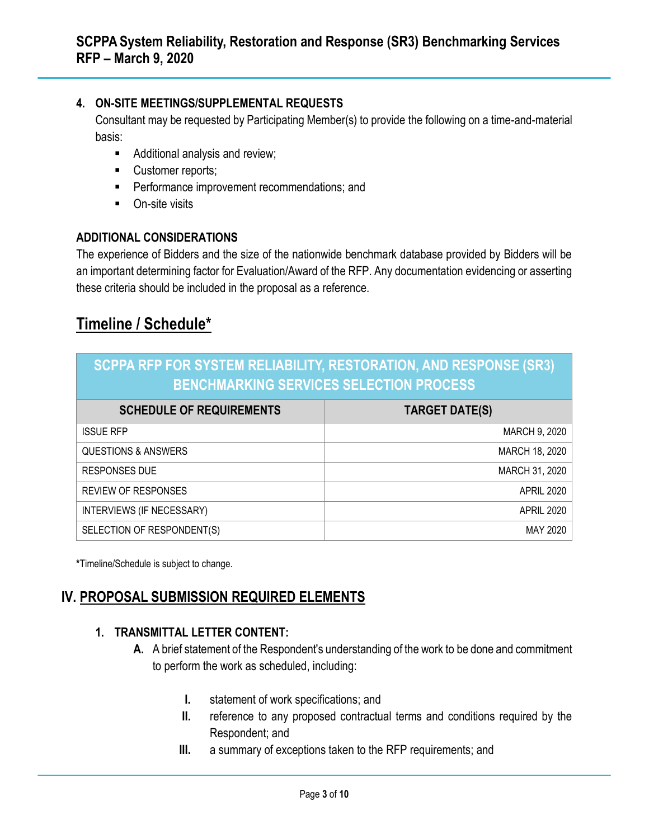### **4. ON-SITE MEETINGS/SUPPLEMENTAL REQUESTS**

Consultant may be requested by Participating Member(s) to provide the following on a time-and-material basis:

- Additional analysis and review;
- Customer reports;
- **•** Performance improvement recommendations; and
- On-site visits

### **ADDITIONAL CONSIDERATIONS**

The experience of Bidders and the size of the nationwide benchmark database provided by Bidders will be an important determining factor for Evaluation/Award of the RFP. Any documentation evidencing or asserting these criteria should be included in the proposal as a reference.

# **Timeline / Schedule\***

| <b>SCPPA RFP FOR SYSTEM RELIABILITY, RESTORATION, AND RESPONSE (SR3)</b><br><b>BENCHMARKING SERVICES SELECTION PROCESS</b> |                       |
|----------------------------------------------------------------------------------------------------------------------------|-----------------------|
| <b>SCHEDULE OF REQUIREMENTS</b>                                                                                            | <b>TARGET DATE(S)</b> |
| <b>ISSUE RFP</b>                                                                                                           | MARCH 9, 2020         |
| <b>QUESTIONS &amp; ANSWERS</b>                                                                                             | MARCH 18, 2020        |
| <b>RESPONSES DUE</b>                                                                                                       | MARCH 31, 2020        |
| <b>REVIEW OF RESPONSES</b>                                                                                                 | <b>APRIL 2020</b>     |
| INTERVIEWS (IF NECESSARY)                                                                                                  | <b>APRIL 2020</b>     |
| SELECTION OF RESPONDENT(S)                                                                                                 | MAY 2020              |

**\***Timeline/Schedule is subject to change.

# **IV. PROPOSAL SUBMISSION REQUIRED ELEMENTS**

### **1. TRANSMITTAL LETTER CONTENT:**

- **A.** A brief statement of the Respondent's understanding of the work to be done and commitment to perform the work as scheduled, including:
	- **I.** statement of work specifications; and
	- **II.** reference to any proposed contractual terms and conditions required by the Respondent; and
	- **III.** a summary of exceptions taken to the RFP requirements; and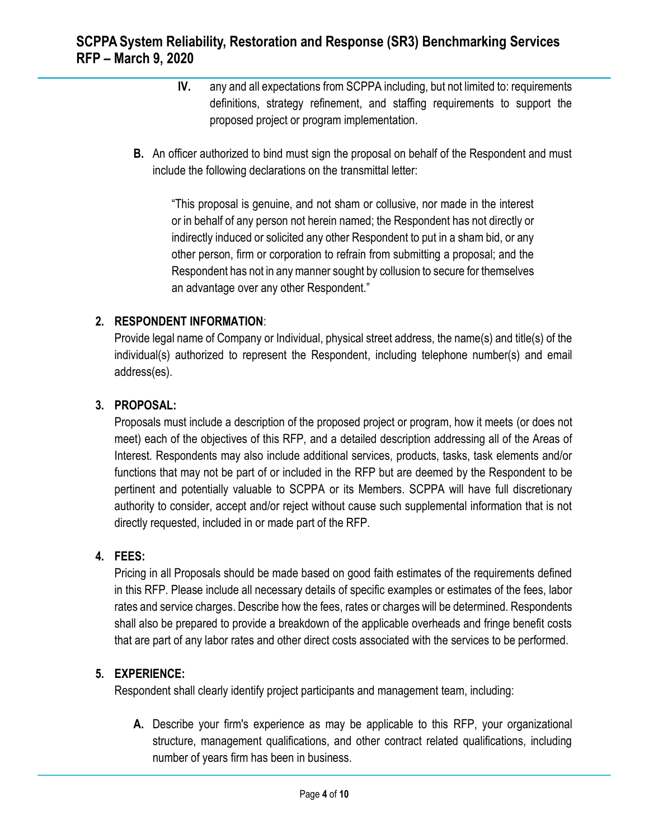- **IV.** any and all expectations from SCPPA including, but not limited to: requirements definitions, strategy refinement, and staffing requirements to support the proposed project or program implementation.
- **B.** An officer authorized to bind must sign the proposal on behalf of the Respondent and must include the following declarations on the transmittal letter:

"This proposal is genuine, and not sham or collusive, nor made in the interest or in behalf of any person not herein named; the Respondent has not directly or indirectly induced or solicited any other Respondent to put in a sham bid, or any other person, firm or corporation to refrain from submitting a proposal; and the Respondent has not in any manner sought by collusion to secure for themselves an advantage over any other Respondent."

### **2. RESPONDENT INFORMATION**:

Provide legal name of Company or Individual, physical street address, the name(s) and title(s) of the individual(s) authorized to represent the Respondent, including telephone number(s) and email address(es).

#### **3. PROPOSAL:**

Proposals must include a description of the proposed project or program, how it meets (or does not meet) each of the objectives of this RFP, and a detailed description addressing all of the Areas of Interest. Respondents may also include additional services, products, tasks, task elements and/or functions that may not be part of or included in the RFP but are deemed by the Respondent to be pertinent and potentially valuable to SCPPA or its Members. SCPPA will have full discretionary authority to consider, accept and/or reject without cause such supplemental information that is not directly requested, included in or made part of the RFP.

### **4. FEES:**

Pricing in all Proposals should be made based on good faith estimates of the requirements defined in this RFP. Please include all necessary details of specific examples or estimates of the fees, labor rates and service charges. Describe how the fees, rates or charges will be determined. Respondents shall also be prepared to provide a breakdown of the applicable overheads and fringe benefit costs that are part of any labor rates and other direct costs associated with the services to be performed.

#### **5. EXPERIENCE:**

Respondent shall clearly identify project participants and management team, including:

**A.** Describe your firm's experience as may be applicable to this RFP, your organizational structure, management qualifications, and other contract related qualifications, including number of years firm has been in business.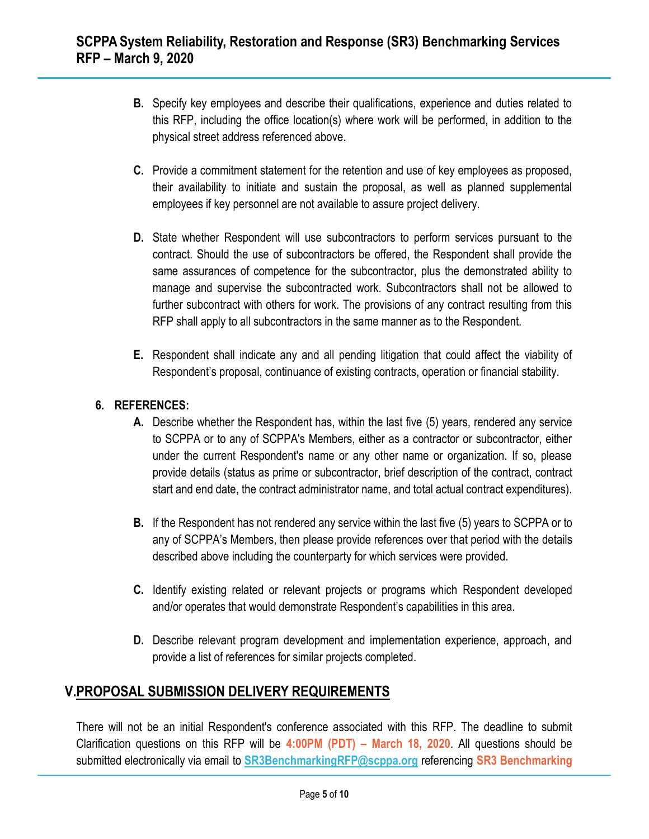- **B.** Specify key employees and describe their qualifications, experience and duties related to this RFP, including the office location(s) where work will be performed, in addition to the physical street address referenced above.
- **C.** Provide a commitment statement for the retention and use of key employees as proposed, their availability to initiate and sustain the proposal, as well as planned supplemental employees if key personnel are not available to assure project delivery.
- **D.** State whether Respondent will use subcontractors to perform services pursuant to the contract. Should the use of subcontractors be offered, the Respondent shall provide the same assurances of competence for the subcontractor, plus the demonstrated ability to manage and supervise the subcontracted work. Subcontractors shall not be allowed to further subcontract with others for work. The provisions of any contract resulting from this RFP shall apply to all subcontractors in the same manner as to the Respondent.
- **E.** Respondent shall indicate any and all pending litigation that could affect the viability of Respondent's proposal, continuance of existing contracts, operation or financial stability.

### **6. REFERENCES:**

- **A.** Describe whether the Respondent has, within the last five (5) years, rendered any service to SCPPA or to any of SCPPA's Members, either as a contractor or subcontractor, either under the current Respondent's name or any other name or organization. If so, please provide details (status as prime or subcontractor, brief description of the contract, contract start and end date, the contract administrator name, and total actual contract expenditures).
- **B.** If the Respondent has not rendered any service within the last five (5) years to SCPPA or to any of SCPPA's Members, then please provide references over that period with the details described above including the counterparty for which services were provided.
- **C.** Identify existing related or relevant projects or programs which Respondent developed and/or operates that would demonstrate Respondent's capabilities in this area.
- **D.** Describe relevant program development and implementation experience, approach, and provide a list of references for similar projects completed.

# **V.PROPOSAL SUBMISSION DELIVERY REQUIREMENTS**

There will not be an initial Respondent's conference associated with this RFP. The deadline to submit Clarification questions on this RFP will be **4:00PM (PDT) – March 18, 2020**. All questions should be submitted electronically via email to **[SR3BenchmarkingRFP@scppa.org](mailto:SR3BenchmarkingRFP@scppa.org)** referencing **SR3 Benchmarking**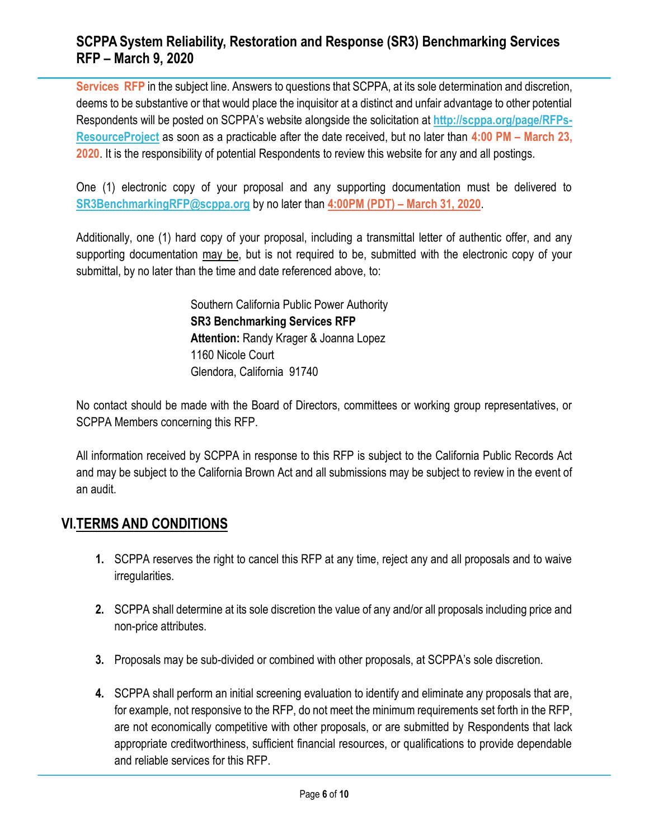**Services RFP** in the subject line. Answers to questions that SCPPA, at its sole determination and discretion, deems to be substantive or that would place the inquisitor at a distinct and unfair advantage to other potential Respondents will be posted on SCPPA's website alongside the solicitation at **[http://scppa.org/page/RFPs-](http://scppa.org/page/RFPs-ResourceProject)[ResourceProject](http://scppa.org/page/RFPs-ResourceProject)** as soon as a practicable after the date received, but no later than **4:00 PM – March 23, 2020**. It is the responsibility of potential Respondents to review this website for any and all postings.

One (1) electronic copy of your proposal and any supporting documentation must be delivered to **[SR3BenchmarkingRFP@scppa.org](mailto:SR3BenchmarkingRFP@scppa.org)** by no later than **4:00PM (PDT) – March 31, 2020**.

Additionally, one (1) hard copy of your proposal, including a transmittal letter of authentic offer, and any supporting documentation may be, but is not required to be, submitted with the electronic copy of your submittal, by no later than the time and date referenced above, to:

> Southern California Public Power Authority **SR3 Benchmarking Services RFP Attention:** Randy Krager & Joanna Lopez 1160 Nicole Court Glendora, California 91740

No contact should be made with the Board of Directors, committees or working group representatives, or SCPPA Members concerning this RFP.

All information received by SCPPA in response to this RFP is subject to the California Public Records Act and may be subject to the California Brown Act and all submissions may be subject to review in the event of an audit.

### **VI.TERMS AND CONDITIONS**

- **1.** SCPPA reserves the right to cancel this RFP at any time, reject any and all proposals and to waive irregularities.
- **2.** SCPPA shall determine at its sole discretion the value of any and/or all proposals including price and non-price attributes.
- **3.** Proposals may be sub-divided or combined with other proposals, at SCPPA's sole discretion.
- **4.** SCPPA shall perform an initial screening evaluation to identify and eliminate any proposals that are, for example, not responsive to the RFP, do not meet the minimum requirements set forth in the RFP, are not economically competitive with other proposals, or are submitted by Respondents that lack appropriate creditworthiness, sufficient financial resources, or qualifications to provide dependable and reliable services for this RFP.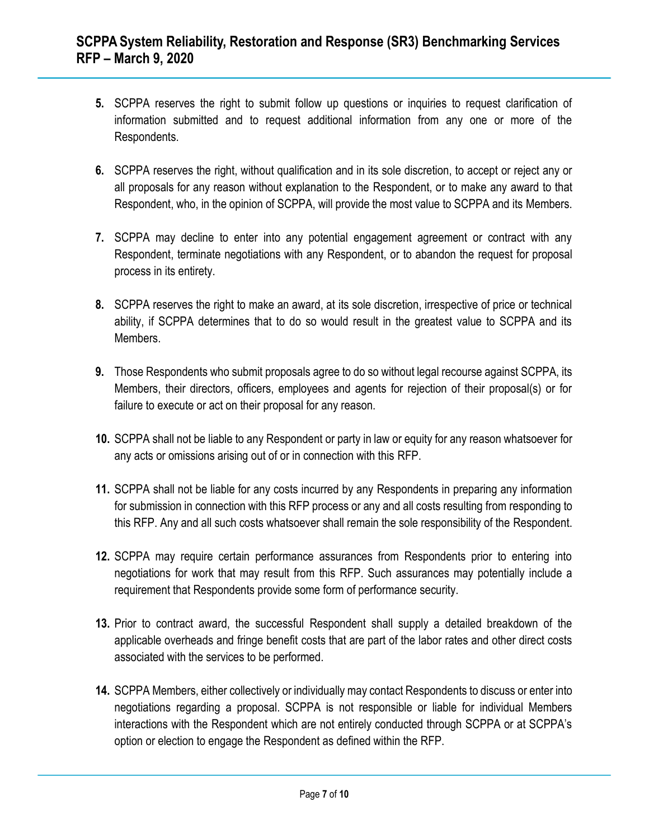- **5.** SCPPA reserves the right to submit follow up questions or inquiries to request clarification of information submitted and to request additional information from any one or more of the Respondents.
- **6.** SCPPA reserves the right, without qualification and in its sole discretion, to accept or reject any or all proposals for any reason without explanation to the Respondent, or to make any award to that Respondent, who, in the opinion of SCPPA, will provide the most value to SCPPA and its Members.
- **7.** SCPPA may decline to enter into any potential engagement agreement or contract with any Respondent, terminate negotiations with any Respondent, or to abandon the request for proposal process in its entirety.
- **8.** SCPPA reserves the right to make an award, at its sole discretion, irrespective of price or technical ability, if SCPPA determines that to do so would result in the greatest value to SCPPA and its Members.
- **9.** Those Respondents who submit proposals agree to do so without legal recourse against SCPPA, its Members, their directors, officers, employees and agents for rejection of their proposal(s) or for failure to execute or act on their proposal for any reason.
- **10.** SCPPA shall not be liable to any Respondent or party in law or equity for any reason whatsoever for any acts or omissions arising out of or in connection with this RFP.
- **11.** SCPPA shall not be liable for any costs incurred by any Respondents in preparing any information for submission in connection with this RFP process or any and all costs resulting from responding to this RFP. Any and all such costs whatsoever shall remain the sole responsibility of the Respondent.
- **12.** SCPPA may require certain performance assurances from Respondents prior to entering into negotiations for work that may result from this RFP. Such assurances may potentially include a requirement that Respondents provide some form of performance security.
- **13.** Prior to contract award, the successful Respondent shall supply a detailed breakdown of the applicable overheads and fringe benefit costs that are part of the labor rates and other direct costs associated with the services to be performed.
- **14.** SCPPA Members, either collectively or individually may contact Respondents to discuss or enter into negotiations regarding a proposal. SCPPA is not responsible or liable for individual Members interactions with the Respondent which are not entirely conducted through SCPPA or at SCPPA's option or election to engage the Respondent as defined within the RFP.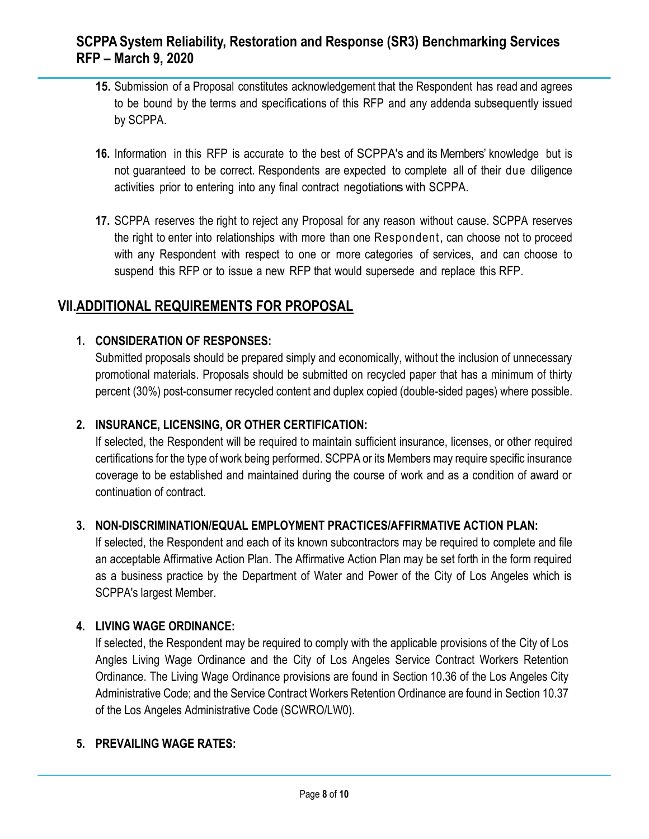- **15.** Submission of a Proposal constitutes acknowledgement that the Respondent has read and agrees to be bound by the terms and specifications of this RFP and any addenda subsequently issued by SCPPA.
- **16.** Information in this RFP is accurate to the best of SCPPA's and its Members' knowledge but is not guaranteed to be correct. Respondents are expected to complete all of their due diligence activities prior to entering into any final contract negotiationswith SCPPA.
- **17.** SCPPA reserves the right to reject any Proposal for any reason without cause. SCPPA reserves the right to enter into relationships with more than one Respondent, can choose not to proceed with any Respondent with respect to one or more categories of services, and can choose to suspend this RFP or to issue a new RFP that would supersede and replace this RFP.

### **VII.ADDITIONAL REQUIREMENTS FOR PROPOSAL**

### **1. CONSIDERATION OF RESPONSES:**

Submitted proposals should be prepared simply and economically, without the inclusion of unnecessary promotional materials. Proposals should be submitted on recycled paper that has a minimum of thirty percent (30%) post-consumer recycled content and duplex copied (double-sided pages) where possible.

### **2. INSURANCE, LICENSING, OR OTHER CERTIFICATION:**

If selected, the Respondent will be required to maintain sufficient insurance, licenses, or other required certifications for the type of work being performed. SCPPA or its Members may require specific insurance coverage to be established and maintained during the course of work and as a condition of award or continuation of contract.

#### **3. NON-DISCRIMINATION/EQUAL EMPLOYMENT PRACTICES/AFFIRMATIVE ACTION PLAN:**

If selected, the Respondent and each of its known subcontractors may be required to complete and file an acceptable Affirmative Action Plan. The Affirmative Action Plan may be set forth in the form required as a business practice by the Department of Water and Power of the City of Los Angeles which is SCPPA's largest Member.

#### **4. LIVING WAGE ORDINANCE:**

If selected, the Respondent may be required to comply with the applicable provisions of the City of Los Angles Living Wage Ordinance and the City of Los Angeles Service Contract Workers Retention Ordinance. The Living Wage Ordinance provisions are found in Section 10.36 of the Los Angeles City Administrative Code; and the Service Contract Workers Retention Ordinance are found in Section 10.37 of the Los Angeles Administrative Code (SCWRO/LW0).

#### **5. PREVAILING WAGE RATES:**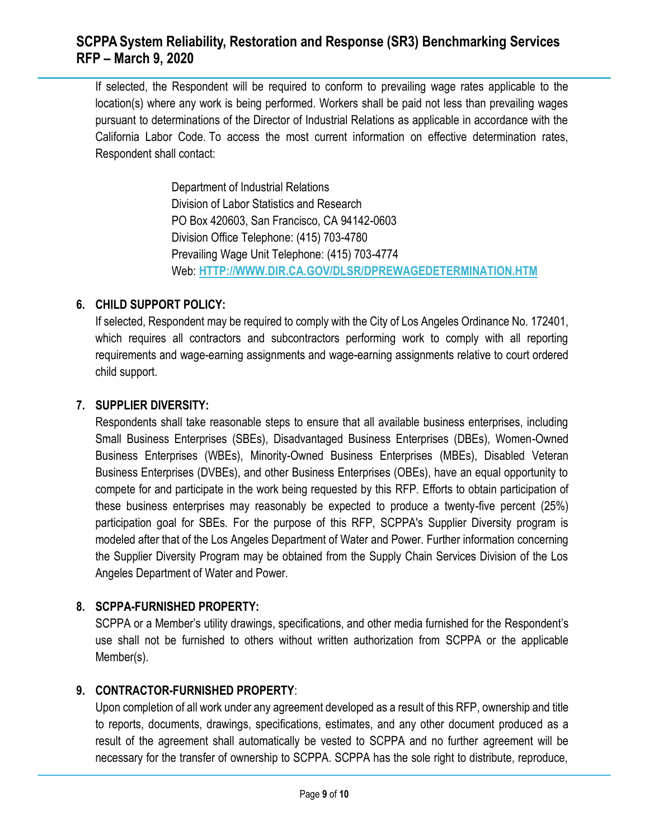If selected, the Respondent will be required to conform to prevailing wage rates applicable to the location(s) where any work is being performed. Workers shall be paid not less than prevailing wages pursuant to determinations of the Director of Industrial Relations as applicable in accordance with the California Labor Code. To access the most current information on effective determination rates, Respondent shall contact:

> Department of Industrial Relations Division of Labor Statistics and Research PO Box 420603, San Francisco, CA 94142-0603 Division Office Telephone: (415) 703-4780 Prevailing Wage Unit Telephone: (415) 703-4774 Web: **[HTTP://WWW.DIR.CA.GOV/DLSR/DPREWAGEDETERMINATION.HTM](http://www.dir.ca.gov/dlsr/DPreWageDetermination.htm)**

### **6. CHILD SUPPORT POLICY:**

If selected, Respondent may be required to comply with the City of Los Angeles Ordinance No. 172401, which requires all contractors and subcontractors performing work to comply with all reporting requirements and wage-earning assignments and wage-earning assignments relative to court ordered child support.

### **7. SUPPLIER DIVERSITY:**

Respondents shall take reasonable steps to ensure that all available business enterprises, including Small Business Enterprises (SBEs), Disadvantaged Business Enterprises (DBEs), Women-Owned Business Enterprises (WBEs), Minority-Owned Business Enterprises (MBEs), Disabled Veteran Business Enterprises (DVBEs), and other Business Enterprises (OBEs), have an equal opportunity to compete for and participate in the work being requested by this RFP. Efforts to obtain participation of these business enterprises may reasonably be expected to produce a twenty-five percent (25%) participation goal for SBEs. For the purpose of this RFP, SCPPA's Supplier Diversity program is modeled after that of the Los Angeles Department of Water and Power. Further information concerning the Supplier Diversity Program may be obtained from the Supply Chain Services Division of the Los Angeles Department of Water and Power.

### **8. SCPPA-FURNISHED PROPERTY:**

SCPPA or a Member's utility drawings, specifications, and other media furnished for the Respondent's use shall not be furnished to others without written authorization from SCPPA or the applicable Member(s).

#### **9. CONTRACTOR-FURNISHED PROPERTY**:

Upon completion of all work under any agreement developed as a result of this RFP, ownership and title to reports, documents, drawings, specifications, estimates, and any other document produced as a result of the agreement shall automatically be vested to SCPPA and no further agreement will be necessary for the transfer of ownership to SCPPA. SCPPA has the sole right to distribute, reproduce,